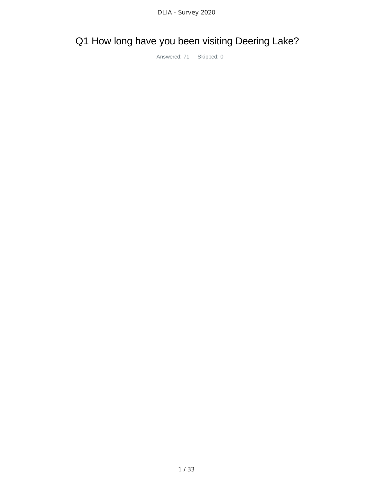# Q1 How long have you been visiting Deering Lake?

Answered: 71 Skipped: 0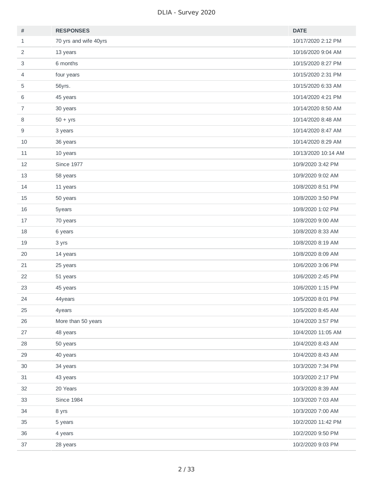| $\#$                      | <b>RESPONSES</b>      | <b>DATE</b>         |
|---------------------------|-----------------------|---------------------|
| $\mathbf{1}$              | 70 yrs and wife 40yrs | 10/17/2020 2:12 PM  |
| $\overline{2}$            | 13 years              | 10/16/2020 9:04 AM  |
| $\ensuremath{\mathsf{3}}$ | 6 months              | 10/15/2020 8:27 PM  |
| 4                         | four years            | 10/15/2020 2:31 PM  |
| 5                         | 56yrs.                | 10/15/2020 6:33 AM  |
| 6                         | 45 years              | 10/14/2020 4:21 PM  |
| $\overline{7}$            | 30 years              | 10/14/2020 8:50 AM  |
| $\, 8$                    | $50 + yrs$            | 10/14/2020 8:48 AM  |
| $\mathsf g$               | 3 years               | 10/14/2020 8:47 AM  |
| 10                        | 36 years              | 10/14/2020 8:29 AM  |
| $11\,$                    | 10 years              | 10/13/2020 10:14 AM |
| 12                        | <b>Since 1977</b>     | 10/9/2020 3:42 PM   |
| 13                        | 58 years              | 10/9/2020 9:02 AM   |
| 14                        | 11 years              | 10/8/2020 8:51 PM   |
| 15                        | 50 years              | 10/8/2020 3:50 PM   |
| 16                        | 5years                | 10/8/2020 1:02 PM   |
| 17                        | 70 years              | 10/8/2020 9:00 AM   |
| 18                        | 6 years               | 10/8/2020 8:33 AM   |
| 19                        | 3 yrs                 | 10/8/2020 8:19 AM   |
| 20                        | 14 years              | 10/8/2020 8:09 AM   |
| 21                        | 25 years              | 10/6/2020 3:06 PM   |
| 22                        | 51 years              | 10/6/2020 2:45 PM   |
| 23                        | 45 years              | 10/6/2020 1:15 PM   |
| 24                        | 44years               | 10/5/2020 8:01 PM   |
| 25                        | 4years                | 10/5/2020 8:45 AM   |
| 26                        | More than 50 years    | 10/4/2020 3:57 PM   |
| 27                        | 48 years              | 10/4/2020 11:05 AM  |
| 28                        | 50 years              | 10/4/2020 8:43 AM   |
| 29                        | 40 years              | 10/4/2020 8:43 AM   |
| 30                        | 34 years              | 10/3/2020 7:34 PM   |
| 31                        | 43 years              | 10/3/2020 2:17 PM   |
| 32                        | 20 Years              | 10/3/2020 8:39 AM   |
| 33                        | <b>Since 1984</b>     | 10/3/2020 7:03 AM   |
| 34                        | 8 yrs                 | 10/3/2020 7:00 AM   |
| 35                        | 5 years               | 10/2/2020 11:42 PM  |
| 36                        | 4 years               | 10/2/2020 9:50 PM   |
| 37                        | 28 years              | 10/2/2020 9:03 PM   |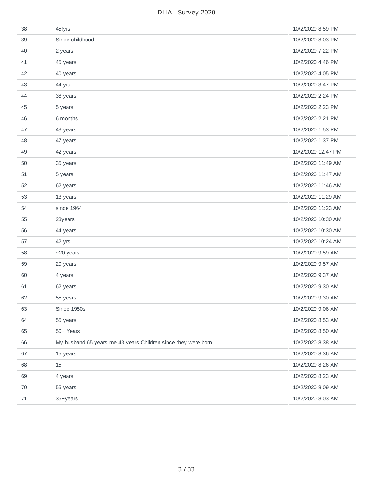| 38     | 45!yrs                                                        | 10/2/2020 8:59 PM  |
|--------|---------------------------------------------------------------|--------------------|
| 39     | Since childhood                                               | 10/2/2020 8:03 PM  |
| 40     | 2 years                                                       | 10/2/2020 7:22 PM  |
| 41     | 45 years                                                      | 10/2/2020 4:46 PM  |
| 42     | 40 years                                                      | 10/2/2020 4:05 PM  |
| 43     | 44 yrs                                                        | 10/2/2020 3:47 PM  |
| 44     | 38 years                                                      | 10/2/2020 2:24 PM  |
| 45     | 5 years                                                       | 10/2/2020 2:23 PM  |
| 46     | 6 months                                                      | 10/2/2020 2:21 PM  |
| 47     | 43 years                                                      | 10/2/2020 1:53 PM  |
| 48     | 47 years                                                      | 10/2/2020 1:37 PM  |
| 49     | 42 years                                                      | 10/2/2020 12:47 PM |
| 50     | 35 years                                                      | 10/2/2020 11:49 AM |
| 51     | 5 years                                                       | 10/2/2020 11:47 AM |
| 52     | 62 years                                                      | 10/2/2020 11:46 AM |
| 53     | 13 years                                                      | 10/2/2020 11:29 AM |
| 54     | since 1964                                                    | 10/2/2020 11:23 AM |
| 55     | 23years                                                       | 10/2/2020 10:30 AM |
| 56     | 44 years                                                      | 10/2/2020 10:30 AM |
| 57     | 42 yrs                                                        | 10/2/2020 10:24 AM |
| 58     | $~20$ years                                                   | 10/2/2020 9:59 AM  |
| 59     | 20 years                                                      | 10/2/2020 9:57 AM  |
| 60     | 4 years                                                       | 10/2/2020 9:37 AM  |
| 61     | 62 years                                                      | 10/2/2020 9:30 AM  |
| 62     | 55 yesrs                                                      | 10/2/2020 9:30 AM  |
| 63     | Since 1950s                                                   | 10/2/2020 9:06 AM  |
| 64     | 55 years                                                      | 10/2/2020 8:53 AM  |
| 65     | 50+ Years                                                     | 10/2/2020 8:50 AM  |
| 66     | My husband 65 years me 43 years Children since they were born | 10/2/2020 8:38 AM  |
| 67     | 15 years                                                      | 10/2/2020 8:36 AM  |
| 68     | 15                                                            | 10/2/2020 8:26 AM  |
| 69     | 4 years                                                       | 10/2/2020 8:23 AM  |
| 70     | 55 years                                                      | 10/2/2020 8:09 AM  |
| $71\,$ | 35+years                                                      | 10/2/2020 8:03 AM  |
|        |                                                               |                    |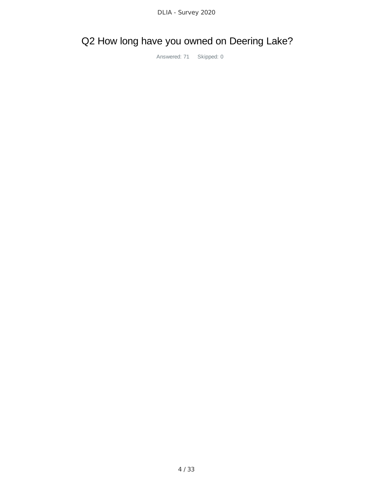## Q2 How long have you owned on Deering Lake?

Answered: 71 Skipped: 0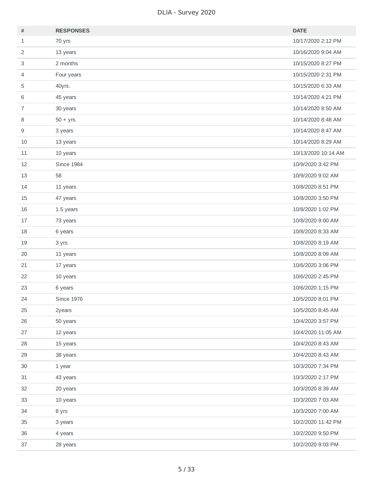| $\#$           | <b>RESPONSES</b>  | <b>DATE</b>         |
|----------------|-------------------|---------------------|
| $\mathbf{1}$   | 70 yrs            | 10/17/2020 2:12 PM  |
| $\overline{2}$ | 13 years          | 10/16/2020 9:04 AM  |
| $\mathsf 3$    | 2 months          | 10/15/2020 8:27 PM  |
| $\overline{4}$ | Four years        | 10/15/2020 2:31 PM  |
| 5              | 40yrs.            | 10/15/2020 6:33 AM  |
| 6              | 45 years          | 10/14/2020 4:21 PM  |
| $\overline{7}$ | 30 years          | 10/14/2020 8:50 AM  |
| $\, 8$         | $50 + yrs$        | 10/14/2020 8:48 AM  |
| 9              | 3 years           | 10/14/2020 8:47 AM  |
| 10             | 13 years          | 10/14/2020 8:29 AM  |
| $11\,$         | 10 years          | 10/13/2020 10:14 AM |
| 12             | <b>Since 1984</b> | 10/9/2020 3:42 PM   |
| 13             | 58                | 10/9/2020 9:02 AM   |
| 14             | 11 years          | 10/8/2020 8:51 PM   |
| 15             | 47 years          | 10/8/2020 3:50 PM   |
| 16             | 1.5 years         | 10/8/2020 1:02 PM   |
| 17             | 73 years          | 10/8/2020 9:00 AM   |
| 18             | 6 years           | 10/8/2020 8:33 AM   |
| 19             | 3 yrs             | 10/8/2020 8:19 AM   |
| 20             | 11 years          | 10/8/2020 8:09 AM   |
| 21             | 17 years          | 10/6/2020 3:06 PM   |
| 22             | 10 years          | 10/6/2020 2:45 PM   |
| 23             | 6 years           | 10/6/2020 1:15 PM   |
| 24             | <b>Since 1976</b> | 10/5/2020 8:01 PM   |
| 25             | 2years            | 10/5/2020 8:45 AM   |
| 26             | 50 years          | 10/4/2020 3:57 PM   |
| 27             | 12 years          | 10/4/2020 11:05 AM  |
| 28             | 15 years          | 10/4/2020 8:43 AM   |
| 29             | 38 years          | 10/4/2020 8:43 AM   |
| 30             | 1 year            | 10/3/2020 7:34 PM   |
| 31             | 43 years          | 10/3/2020 2:17 PM   |
| 32             | 20 years          | 10/3/2020 8:39 AM   |
| 33             | 10 years          | 10/3/2020 7:03 AM   |
| 34             | 8 yrs             | 10/3/2020 7:00 AM   |
| 35             | 3 years           | 10/2/2020 11:42 PM  |
| 36             | 4 years           | 10/2/2020 9:50 PM   |
| 37             | 28 years          | 10/2/2020 9:03 PM   |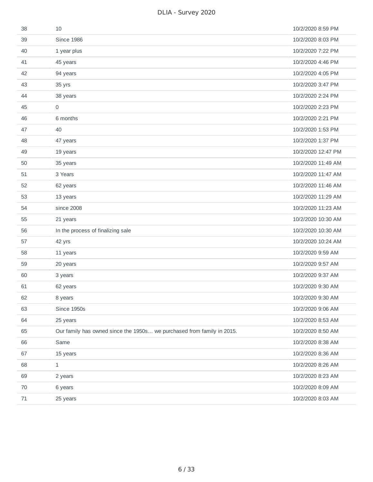| 38 | 10                                                                     | 10/2/2020 8:59 PM  |
|----|------------------------------------------------------------------------|--------------------|
| 39 | <b>Since 1986</b>                                                      | 10/2/2020 8:03 PM  |
| 40 | 1 year plus                                                            | 10/2/2020 7:22 PM  |
| 41 | 45 years                                                               | 10/2/2020 4:46 PM  |
| 42 | 94 years                                                               | 10/2/2020 4:05 PM  |
| 43 | 35 yrs                                                                 | 10/2/2020 3:47 PM  |
| 44 | 38 years                                                               | 10/2/2020 2:24 PM  |
| 45 | 0                                                                      | 10/2/2020 2:23 PM  |
| 46 | 6 months                                                               | 10/2/2020 2:21 PM  |
| 47 | 40                                                                     | 10/2/2020 1:53 PM  |
| 48 | 47 years                                                               | 10/2/2020 1:37 PM  |
| 49 | 19 years                                                               | 10/2/2020 12:47 PM |
| 50 | 35 years                                                               | 10/2/2020 11:49 AM |
| 51 | 3 Years                                                                | 10/2/2020 11:47 AM |
| 52 | 62 years                                                               | 10/2/2020 11:46 AM |
| 53 | 13 years                                                               | 10/2/2020 11:29 AM |
| 54 | since 2008                                                             | 10/2/2020 11:23 AM |
| 55 | 21 years                                                               | 10/2/2020 10:30 AM |
| 56 | In the process of finalizing sale                                      | 10/2/2020 10:30 AM |
| 57 | 42 yrs                                                                 | 10/2/2020 10:24 AM |
| 58 | 11 years                                                               | 10/2/2020 9:59 AM  |
| 59 | 20 years                                                               | 10/2/2020 9:57 AM  |
| 60 | 3 years                                                                | 10/2/2020 9:37 AM  |
| 61 | 62 years                                                               | 10/2/2020 9:30 AM  |
| 62 | 8 years                                                                | 10/2/2020 9:30 AM  |
| 63 | Since 1950s                                                            | 10/2/2020 9:06 AM  |
| 64 | 25 years                                                               | 10/2/2020 8:53 AM  |
| 65 | Our family has owned since the 1950s we purchased from family in 2015. | 10/2/2020 8:50 AM  |
| 66 | Same                                                                   | 10/2/2020 8:38 AM  |
| 67 | 15 years                                                               | 10/2/2020 8:36 AM  |
| 68 | $\mathbf{1}$                                                           | 10/2/2020 8:26 AM  |
| 69 | 2 years                                                                | 10/2/2020 8:23 AM  |
| 70 | 6 years                                                                | 10/2/2020 8:09 AM  |
| 71 | 25 years                                                               | 10/2/2020 8:03 AM  |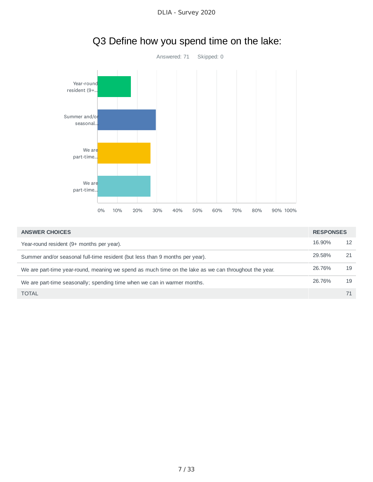

| <b>ANSWER CHOICES</b>                                                                                 | <b>RESPONSES</b> |    |
|-------------------------------------------------------------------------------------------------------|------------------|----|
| Year-round resident (9+ months per year).                                                             | 16.90%           | 12 |
| Summer and/or seasonal full-time resident (but less than 9 months per year).                          | 29.58%           |    |
| We are part-time year-round, meaning we spend as much time on the lake as we can throughout the year. | 26.76%           | 19 |
| We are part-time seasonally; spending time when we can in warmer months.                              | 26.76%           | 19 |
| <b>TOTAL</b>                                                                                          |                  |    |

## Q3 Define how you spend time on the lake: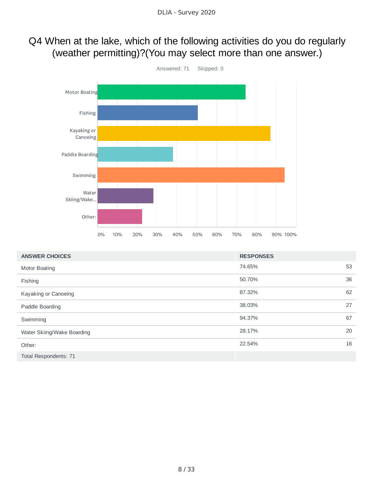### Q4 When at the lake, which of the following activities do you do regularly (weather permitting)?(You may select more than one answer.)



| <b>ANSWER CHOICES</b>      | <b>RESPONSES</b> |    |
|----------------------------|------------------|----|
| Motor Boating              | 74.65%           | 53 |
| Fishing                    | 50.70%           | 36 |
| Kayaking or Canoeing       | 87.32%           | 62 |
| Paddle Boarding            | 38.03%           | 27 |
| Swimming                   | 94.37%           | 67 |
| Water Skiing/Wake Boarding | 28.17%           | 20 |
| Other:                     | 22.54%           | 16 |
| Total Respondents: 71      |                  |    |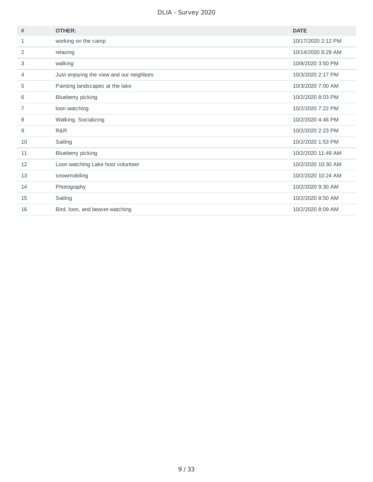| #  | <b>OTHER:</b>                            | <b>DATE</b>        |
|----|------------------------------------------|--------------------|
| 1  | working on the camp                      | 10/17/2020 2:12 PM |
| 2  | relaxing                                 | 10/14/2020 8:29 AM |
| 3  | walking                                  | 10/8/2020 3:50 PM  |
| 4  | Just enjoying the view and our neighbors | 10/3/2020 2:17 PM  |
| 5  | Painting landscapes at the lake          | 10/3/2020 7:00 AM  |
| 6  | Blueberry picking                        | 10/2/2020 8:03 PM  |
| 7  | loon watching                            | 10/2/2020 7:22 PM  |
| 8  | Walking. Socializing                     | 10/2/2020 4:46 PM  |
| 9  | R&R                                      | 10/2/2020 2:23 PM  |
| 10 | Sailing                                  | 10/2/2020 1:53 PM  |
| 11 | Blueberry picking                        | 10/2/2020 11:49 AM |
| 12 | Loon watching Lake host volunteer        | 10/2/2020 10:30 AM |
| 13 | snowmobiling                             | 10/2/2020 10:24 AM |
| 14 | Photography                              | 10/2/2020 9:30 AM  |
| 15 | Sailing                                  | 10/2/2020 8:50 AM  |
| 16 | Bird, loon, and beaver-watching          | 10/2/2020 8:09 AM  |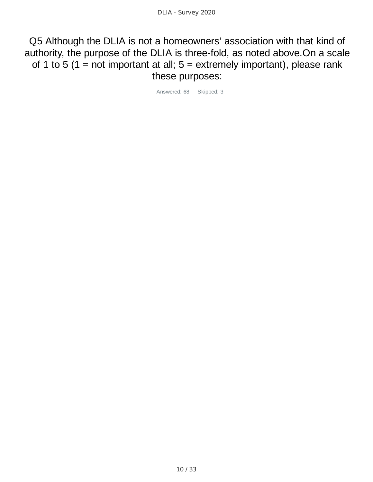Q5 Although the DLIA is not a homeowners' association with that kind of authority, the purpose of the DLIA is three-fold, as noted above.On a scale of 1 to 5 (1 = not important at all;  $5$  = extremely important), please rank these purposes:

Answered: 68 Skipped: 3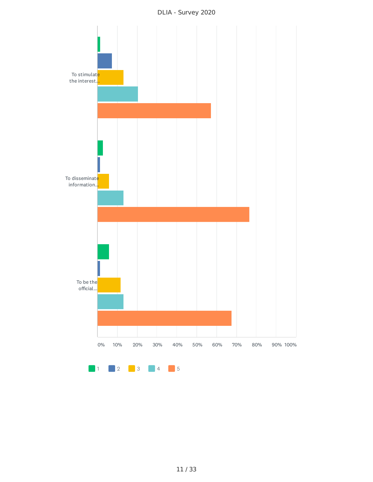

DLIA - Survey 2020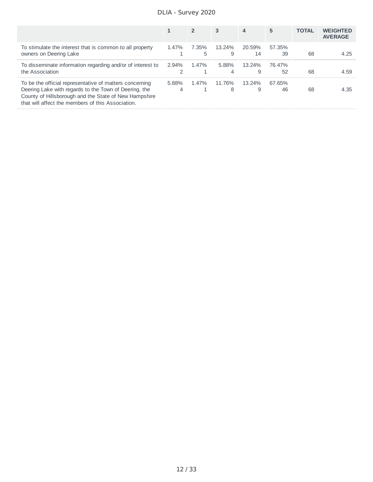DLIA - Survey 2020

|                                                                                                                                                                                                                                |            | $\overline{2}$ | 3           | 4            | 5            | <b>TOTAL</b> | <b>WEIGHTED</b><br><b>AVERAGE</b> |
|--------------------------------------------------------------------------------------------------------------------------------------------------------------------------------------------------------------------------------|------------|----------------|-------------|--------------|--------------|--------------|-----------------------------------|
| To stimulate the interest that is common to all property<br>owners on Deering Lake                                                                                                                                             | 1.47%      | 7.35%<br>5     | 13.24%<br>9 | 20.59%<br>14 | 57.35%<br>39 | 68           | 4.25                              |
| To disseminate information regarding and/or of interest to<br>the Association                                                                                                                                                  | 2.94%<br>2 | 1.47%          | 5.88%<br>4  | 13.24%<br>9  | 76.47%<br>52 | 68           | 4.59                              |
| To be the official representative of matters concerning<br>Deering Lake with regards to the Town of Deering, the<br>County of Hillsborough and the State of New Hampshire<br>that will affect the members of this Association. | 5.88%<br>4 | 1.47%          | 11.76%<br>8 | 13.24%<br>9  | 67.65%<br>46 | 68           | 4.35                              |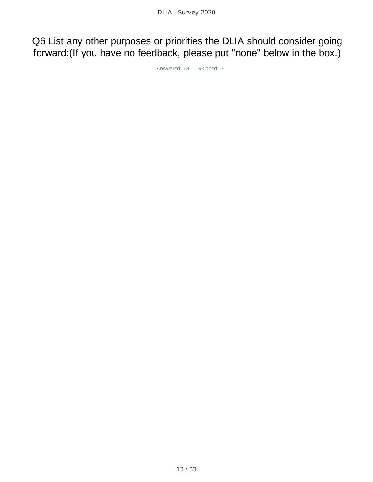Q6 List any other purposes or priorities the DLIA should consider going forward:(If you have no feedback, please put "none" below in the box.)

Answered: 68 Skipped: 3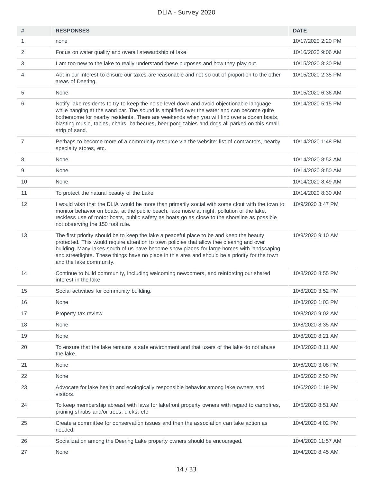| #              | <b>RESPONSES</b>                                                                                                                                                                                                                                                                                                                                                                                                  | <b>DATE</b>        |
|----------------|-------------------------------------------------------------------------------------------------------------------------------------------------------------------------------------------------------------------------------------------------------------------------------------------------------------------------------------------------------------------------------------------------------------------|--------------------|
| $\mathbf{1}$   | none                                                                                                                                                                                                                                                                                                                                                                                                              | 10/17/2020 2:20 PM |
| 2              | Focus on water quality and overall stewardship of lake                                                                                                                                                                                                                                                                                                                                                            | 10/16/2020 9:06 AM |
| 3              | I am too new to the lake to really understand these purposes and how they play out.                                                                                                                                                                                                                                                                                                                               | 10/15/2020 8:30 PM |
| 4              | Act in our interest to ensure our taxes are reasonable and not so out of proportion to the other<br>areas of Deering.                                                                                                                                                                                                                                                                                             | 10/15/2020 2:35 PM |
| 5              | None                                                                                                                                                                                                                                                                                                                                                                                                              | 10/15/2020 6:36 AM |
| 6              | Notify lake residents to try to keep the noise level down and avoid objectionable language<br>while hanging at the sand bar. The sound is amplified over the water and can become quite<br>bothersome for nearby residents. There are weekends when you will find over a dozen boats,<br>blasting music, tables, chairs, barbecues, beer pong tables and dogs all parked on this small<br>strip of sand.          | 10/14/2020 5:15 PM |
| $\overline{7}$ | Perhaps to become more of a community resource via the website: list of contractors, nearby<br>specialty stores, etc.                                                                                                                                                                                                                                                                                             | 10/14/2020 1:48 PM |
| 8              | None                                                                                                                                                                                                                                                                                                                                                                                                              | 10/14/2020 8:52 AM |
| 9              | None                                                                                                                                                                                                                                                                                                                                                                                                              | 10/14/2020 8:50 AM |
| 10             | None                                                                                                                                                                                                                                                                                                                                                                                                              | 10/14/2020 8:49 AM |
| 11             | To protect the natural beauty of the Lake                                                                                                                                                                                                                                                                                                                                                                         | 10/14/2020 8:30 AM |
| 12             | I would wish that the DLIA would be more than primarily social with some clout with the town to<br>monitor behavior on boats, at the public beach, lake noise at night, pollution of the lake,<br>reckless use of motor boats, public safety as boats go as close to the shoreline as possible<br>not observing the 150 foot rule.                                                                                | 10/9/2020 3:47 PM  |
| 13             | The first priority should be to keep the lake a peaceful place to be and keep the beauty<br>protected. This would require attention to town policies that allow tree clearing and over<br>building. Many lakes south of us have become show places for large homes with landscaping<br>and streetlights. These things have no place in this area and should be a priority for the town<br>and the lake community. | 10/9/2020 9:10 AM  |
| 14             | Continue to build community, including welcoming newcomers, and reinforcing our shared<br>interest in the lake                                                                                                                                                                                                                                                                                                    | 10/8/2020 8:55 PM  |
| 15             | Social activities for community building.                                                                                                                                                                                                                                                                                                                                                                         | 10/8/2020 3:52 PM  |
| 16             | None                                                                                                                                                                                                                                                                                                                                                                                                              | 10/8/2020 1:03 PM  |
| 17             | Property tax review                                                                                                                                                                                                                                                                                                                                                                                               | 10/8/2020 9:02 AM  |
| 18             | None                                                                                                                                                                                                                                                                                                                                                                                                              | 10/8/2020 8:35 AM  |
| 19             | None                                                                                                                                                                                                                                                                                                                                                                                                              | 10/8/2020 8:21 AM  |
| 20             | To ensure that the lake remains a safe environment and that users of the lake do not abuse<br>the lake.                                                                                                                                                                                                                                                                                                           | 10/8/2020 8:11 AM  |
| 21             | None                                                                                                                                                                                                                                                                                                                                                                                                              | 10/6/2020 3:08 PM  |
| 22             | None                                                                                                                                                                                                                                                                                                                                                                                                              | 10/6/2020 2:50 PM  |
| 23             | Advocate for lake health and ecologically responsible behavior among lake owners and<br>visitors.                                                                                                                                                                                                                                                                                                                 | 10/6/2020 1:19 PM  |
| 24             | To keep membership abreast with laws for lakefront property owners with regard to campfires,<br>pruning shrubs and/or trees, dicks, etc                                                                                                                                                                                                                                                                           | 10/5/2020 8:51 AM  |
| 25             | Create a committee for conservation issues and then the association can take action as<br>needed.                                                                                                                                                                                                                                                                                                                 | 10/4/2020 4:02 PM  |
| 26             | Socialization among the Deering Lake property owners should be encouraged.                                                                                                                                                                                                                                                                                                                                        | 10/4/2020 11:57 AM |
| 27             | None                                                                                                                                                                                                                                                                                                                                                                                                              | 10/4/2020 8:45 AM  |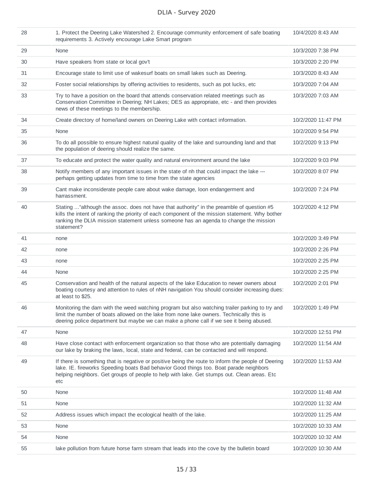| 28 | 1. Protect the Deering Lake Watershed 2. Encourage community enforcement of safe boating<br>requirements 3. Actively encourage Lake Smart program                                                                                                                                                    | 10/4/2020 8:43 AM  |
|----|------------------------------------------------------------------------------------------------------------------------------------------------------------------------------------------------------------------------------------------------------------------------------------------------------|--------------------|
| 29 | None                                                                                                                                                                                                                                                                                                 | 10/3/2020 7:38 PM  |
| 30 | Have speakers from state or local gov't                                                                                                                                                                                                                                                              | 10/3/2020 2:20 PM  |
| 31 | Encourage state to limit use of wakesurf boats on small lakes such as Deering.                                                                                                                                                                                                                       | 10/3/2020 8:43 AM  |
| 32 | Foster social relationships by offering activities to residents, such as pot lucks, etc.                                                                                                                                                                                                             | 10/3/2020 7:04 AM  |
| 33 | Try to have a position on the board that attends conservation related meetings such as<br>Conservation Committee in Deering; NH Lakes; DES as appropriate, etc - and then provides<br>news of these meetings to the membership.                                                                      | 10/3/2020 7:03 AM  |
| 34 | Create directory of home/land owners on Deering Lake with contact information.                                                                                                                                                                                                                       | 10/2/2020 11:47 PM |
| 35 | None                                                                                                                                                                                                                                                                                                 | 10/2/2020 9:54 PM  |
| 36 | To do all possible to ensure highest natural quality of the lake and surrounding land and that<br>the population of deering should realize the same.                                                                                                                                                 | 10/2/2020 9:13 PM  |
| 37 | To educate and protect the water quality and natural environment around the lake                                                                                                                                                                                                                     | 10/2/2020 9:03 PM  |
| 38 | Notify members of any important issues in the state of nh that could impact the lake ---<br>perhaps getting updates from time to time from the state agencies                                                                                                                                        | 10/2/2020 8:07 PM  |
| 39 | Cant make inconsiderate people care about wake damage, loon endangerment and<br>harrassment.                                                                                                                                                                                                         | 10/2/2020 7:24 PM  |
| 40 | Stating  "although the assoc. does not have that authority" in the preamble of question #5<br>kills the intent of ranking the priority of each component of the mission statement. Why bother<br>ranking the DLIA mission statement unless someone has an agenda to change the mission<br>statement? | 10/2/2020 4:12 PM  |
| 41 | none                                                                                                                                                                                                                                                                                                 | 10/2/2020 3:49 PM  |
| 42 | none                                                                                                                                                                                                                                                                                                 | 10/2/2020 2:26 PM  |
| 43 | none                                                                                                                                                                                                                                                                                                 | 10/2/2020 2:25 PM  |
| 44 | None                                                                                                                                                                                                                                                                                                 | 10/2/2020 2:25 PM  |
| 45 | Conservation and health of the natural aspects of the lake Education to newer owners about<br>boating courtesy and attention to rules of nNH navigation You should consider increasing dues:<br>at least to \$25.                                                                                    | 10/2/2020 2:01 PM  |
| 46 | Monitoring the dam with the weed watching program but also watching trailer parking to try and<br>limit the number of boats allowed on the lake from none lake owners. Technically this is<br>deering police department but maybe we can make a phone call if we see it being abused.                | 10/2/2020 1:49 PM  |
| 47 | None                                                                                                                                                                                                                                                                                                 | 10/2/2020 12:51 PM |
| 48 | Have close contact with enforcement organization so that those who are potentially damaging<br>our lake by braking the laws, local, state and federal, can be contacted and will respond.                                                                                                            | 10/2/2020 11:54 AM |
| 49 | If there is something that is negative or positive being the route to inform the people of Deering<br>lake. IE. fireworks Speeding boats Bad behavior Good things too. Boat parade neighbors<br>helping neighbors. Get groups of people to help with lake. Get stumps out. Clean areas. Etc<br>etc   | 10/2/2020 11:53 AM |
| 50 | None                                                                                                                                                                                                                                                                                                 | 10/2/2020 11:48 AM |
| 51 | None                                                                                                                                                                                                                                                                                                 | 10/2/2020 11:32 AM |
| 52 | Address issues which impact the ecological health of the lake.                                                                                                                                                                                                                                       | 10/2/2020 11:25 AM |
| 53 | None                                                                                                                                                                                                                                                                                                 | 10/2/2020 10:33 AM |
| 54 | None                                                                                                                                                                                                                                                                                                 | 10/2/2020 10:32 AM |
| 55 | lake pollution from future horse farm stream that leads into the cove by the bulletin board                                                                                                                                                                                                          | 10/2/2020 10:30 AM |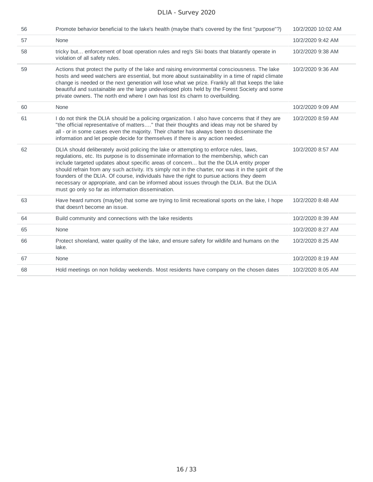| 56 | Promote behavior beneficial to the lake's health (maybe that's covered by the first "purpose"?)                                                                                                                                                                                                                                                                                                                                                                                                                                                                                                                                      | 10/2/2020 10:02 AM |
|----|--------------------------------------------------------------------------------------------------------------------------------------------------------------------------------------------------------------------------------------------------------------------------------------------------------------------------------------------------------------------------------------------------------------------------------------------------------------------------------------------------------------------------------------------------------------------------------------------------------------------------------------|--------------------|
| 57 | None                                                                                                                                                                                                                                                                                                                                                                                                                                                                                                                                                                                                                                 | 10/2/2020 9:42 AM  |
| 58 | tricky but enforcement of boat operation rules and reg's Ski boats that blatantly operate in<br>violation of all safety rules.                                                                                                                                                                                                                                                                                                                                                                                                                                                                                                       | 10/2/2020 9:38 AM  |
| 59 | Actions that protect the purity of the lake and raising environmental consciousness. The lake<br>hosts and weed watchers are essential, but more about sustainability in a time of rapid climate<br>change is needed or the next generation will lose what we prize. Frankly all that keeps the lake<br>beautiful and sustainable are the large undeveloped plots held by the Forest Society and some<br>private owners. The north end where I own has lost its charm to overbuilding.                                                                                                                                               | 10/2/2020 9:36 AM  |
| 60 | None                                                                                                                                                                                                                                                                                                                                                                                                                                                                                                                                                                                                                                 | 10/2/2020 9:09 AM  |
| 61 | I do not think the DLIA should be a policing organization. I also have concerns that if they are<br>"the official representative of matters" that their thoughts and ideas may not be shared by<br>all - or in some cases even the majority. Their charter has always been to disseminate the<br>information and let people decide for themselves if there is any action needed.                                                                                                                                                                                                                                                     | 10/2/2020 8:59 AM  |
| 62 | DLIA should deliberately avoid policing the lake or attempting to enforce rules, laws,<br>regulations, etc. Its purpose is to disseminate information to the membership, which can<br>include targeted updates about specific areas of concern but the the DLIA entity proper<br>should refrain from any such activity. It's simply not in the charter, nor was it in the spirit of the<br>founders of the DLIA. Of course, individuals have the right to pursue actions they deem<br>necessary or appropriate, and can be informed about issues through the DLIA. But the DLIA<br>must go only so far as information dissemination. | 10/2/2020 8:57 AM  |
| 63 | Have heard rumors (maybe) that some are trying to limit recreational sports on the lake, I hope<br>that doesn't become an issue.                                                                                                                                                                                                                                                                                                                                                                                                                                                                                                     | 10/2/2020 8:48 AM  |
| 64 | Build community and connections with the lake residents                                                                                                                                                                                                                                                                                                                                                                                                                                                                                                                                                                              | 10/2/2020 8:39 AM  |
| 65 | None                                                                                                                                                                                                                                                                                                                                                                                                                                                                                                                                                                                                                                 | 10/2/2020 8:27 AM  |
| 66 | Protect shoreland, water quality of the lake, and ensure safety for wildlife and humans on the<br>lake.                                                                                                                                                                                                                                                                                                                                                                                                                                                                                                                              | 10/2/2020 8:25 AM  |
| 67 | None                                                                                                                                                                                                                                                                                                                                                                                                                                                                                                                                                                                                                                 | 10/2/2020 8:19 AM  |
| 68 | Hold meetings on non holiday weekends. Most residents have company on the chosen dates                                                                                                                                                                                                                                                                                                                                                                                                                                                                                                                                               | 10/2/2020 8:05 AM  |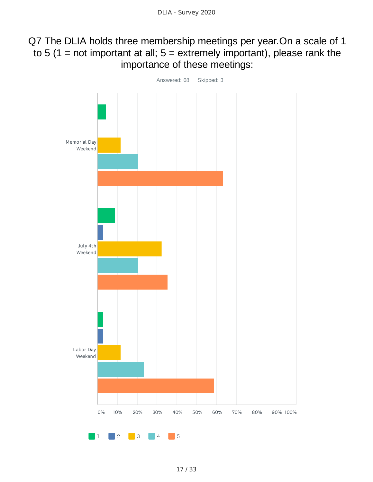### Q7 The DLIA holds three membership meetings per year.On a scale of 1 to 5 ( $1$  = not important at all;  $5$  = extremely important), please rank the importance of these meetings:

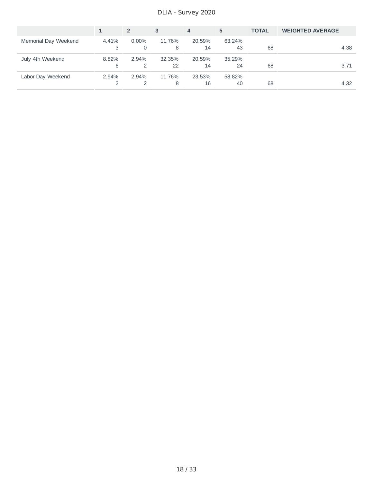DLIA - Survey 2020

|                      |            | $\overline{2}$ | 3            | 4            | 5            | <b>TOTAL</b> | <b>WEIGHTED AVERAGE</b> |
|----------------------|------------|----------------|--------------|--------------|--------------|--------------|-------------------------|
| Memorial Day Weekend | 4.41%      | $0.00\%$<br>0  | 11.76%<br>8  | 20.59%<br>14 | 63.24%<br>43 | 68           | 4.38                    |
| July 4th Weekend     | 8.82%<br>6 | 2.94%          | 32.35%<br>22 | 20.59%<br>14 | 35.29%<br>24 | 68           | 3.71                    |
| Labor Day Weekend    | 2.94%      | 2.94%          | 11.76%<br>8  | 23.53%<br>16 | 58.82%<br>40 | 68           | 4.32                    |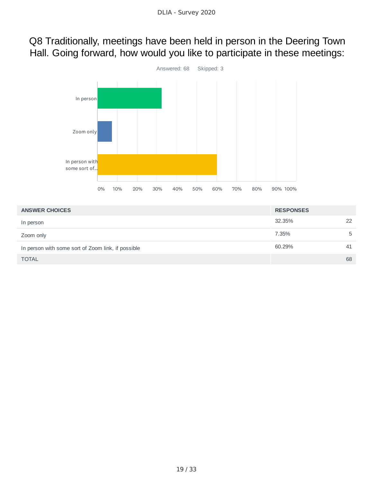### Q8 Traditionally, meetings have been held in person in the Deering Town Hall. Going forward, how would you like to participate in these meetings:



| <b>ANSWER CHOICES</b>                              | <b>RESPONSES</b> |    |
|----------------------------------------------------|------------------|----|
| In person                                          | 32.35%           | 22 |
| Zoom only                                          | 7.35%            | -5 |
| In person with some sort of Zoom link, if possible | 60.29%           | 41 |
| <b>TOTAL</b>                                       |                  | 68 |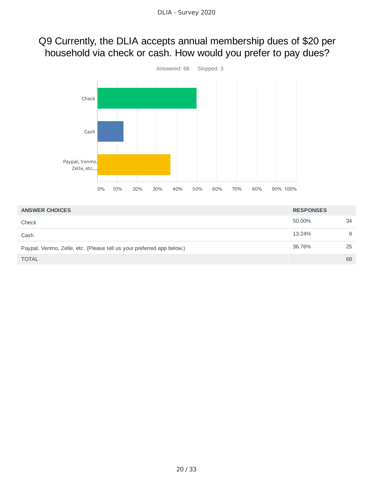### Q9 Currently, the DLIA accepts annual membership dues of \$20 per household via check or cash. How would you prefer to pay dues?



| <b>ANSWER CHOICES</b>                                                 | <b>RESPONSES</b> |    |
|-----------------------------------------------------------------------|------------------|----|
| Check                                                                 | 50.00%           | 34 |
| Cash                                                                  | 13.24%           | 9  |
| Paypal, Venmo, Zelle, etc. (Please tell us your preferred app below.) | 36.76%           | 25 |
| <b>TOTAL</b>                                                          |                  | 68 |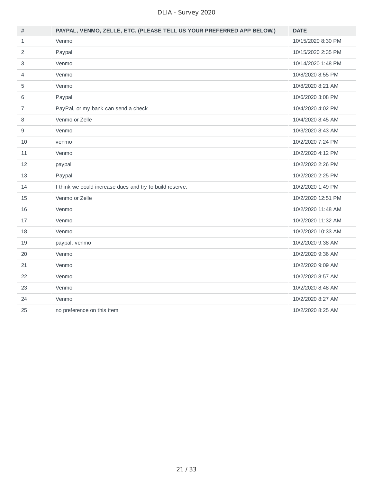| #              | PAYPAL, VENMO, ZELLE, ETC. (PLEASE TELL US YOUR PREFERRED APP BELOW.) | <b>DATE</b>        |
|----------------|-----------------------------------------------------------------------|--------------------|
| $\mathbf{1}$   | Venmo                                                                 | 10/15/2020 8:30 PM |
| 2              | Paypal                                                                | 10/15/2020 2:35 PM |
| 3              | Venmo                                                                 | 10/14/2020 1:48 PM |
| 4              | Venmo                                                                 | 10/8/2020 8:55 PM  |
| 5              | Venmo                                                                 | 10/8/2020 8:21 AM  |
| 6              | Paypal                                                                | 10/6/2020 3:08 PM  |
| $\overline{7}$ | PayPal, or my bank can send a check                                   | 10/4/2020 4:02 PM  |
| 8              | Venmo or Zelle                                                        | 10/4/2020 8:45 AM  |
| 9              | Venmo                                                                 | 10/3/2020 8:43 AM  |
| 10             | venmo                                                                 | 10/2/2020 7:24 PM  |
| 11             | Venmo                                                                 | 10/2/2020 4:12 PM  |
| 12             | paypal                                                                | 10/2/2020 2:26 PM  |
| 13             | Paypal                                                                | 10/2/2020 2:25 PM  |
| 14             | I think we could increase dues and try to build reserve.              | 10/2/2020 1:49 PM  |
| 15             | Venmo or Zelle                                                        | 10/2/2020 12:51 PM |
| 16             | Venmo                                                                 | 10/2/2020 11:48 AM |
| 17             | Venmo                                                                 | 10/2/2020 11:32 AM |
| 18             | Venmo                                                                 | 10/2/2020 10:33 AM |
| 19             | paypal, venmo                                                         | 10/2/2020 9:38 AM  |
| 20             | Venmo                                                                 | 10/2/2020 9:36 AM  |
| 21             | Venmo                                                                 | 10/2/2020 9:09 AM  |
| 22             | Venmo                                                                 | 10/2/2020 8:57 AM  |
| 23             | Venmo                                                                 | 10/2/2020 8:48 AM  |
| 24             | Venmo                                                                 | 10/2/2020 8:27 AM  |
| 25             | no preference on this item                                            | 10/2/2020 8:25 AM  |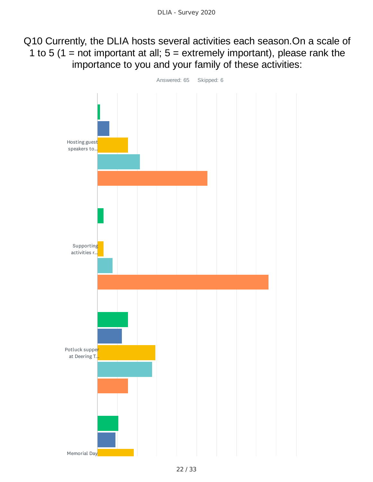Q10 Currently, the DLIA hosts several activities each season.On a scale of 1 to 5 (1 = not important at all;  $5$  = extremely important), please rank the importance to you and your family of these activities:

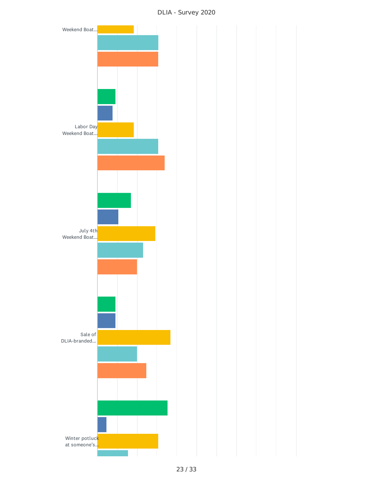DLIA - Survey 2020

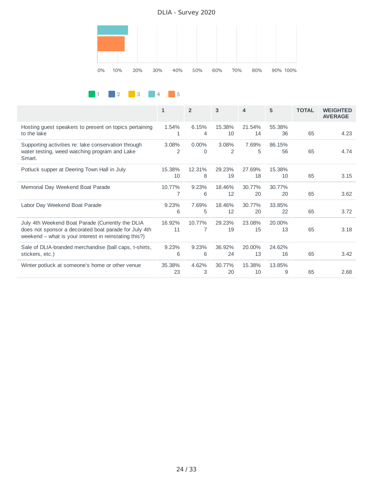DLIA - Survey 2020





|                                                                                                                                                                    | $\mathbf{1}$ | $\overline{2}$       | 3            | 4            | 5            | <b>TOTAL</b> | <b>WEIGHTED</b><br><b>AVERAGE</b> |
|--------------------------------------------------------------------------------------------------------------------------------------------------------------------|--------------|----------------------|--------------|--------------|--------------|--------------|-----------------------------------|
| Hosting quest speakers to present on topics pertaining<br>to the lake                                                                                              | 1.54%<br>1   | 6.15%<br>4           | 15.38%<br>10 | 21.54%<br>14 | 55.38%<br>36 | 65           | 4.23                              |
| Supporting activities re: lake conservation through<br>water testing, weed watching program and Lake<br>Smart.                                                     | 3.08%<br>2   | $0.00\%$<br>$\Omega$ | 3.08%<br>2   | 7.69%<br>5   | 86.15%<br>56 | 65           | 4.74                              |
| Potluck supper at Deering Town Hall in July                                                                                                                        | 15.38%<br>10 | 12.31%<br>8          | 29.23%<br>19 | 27.69%<br>18 | 15.38%<br>10 | 65           | 3.15                              |
| Memorial Day Weekend Boat Parade                                                                                                                                   | 10.77%<br>7  | 9.23%<br>6           | 18.46%<br>12 | 30.77%<br>20 | 30.77%<br>20 | 65           | 3.62                              |
| Labor Day Weekend Boat Parade                                                                                                                                      | 9.23%<br>6   | 7.69%<br>5           | 18.46%<br>12 | 30.77%<br>20 | 33.85%<br>22 | 65           | 3.72                              |
| July 4th Weekend Boat Parade (Currently the DLIA<br>does not sponsor a decorated boat parade for July 4th<br>weekend – what is your interest in reinstating this?) | 16.92%<br>11 | 10.77%<br>7          | 29.23%<br>19 | 23.08%<br>15 | 20.00%<br>13 | 65           | 3.18                              |
| Sale of DLIA-branded merchandise (ball caps, t-shirts,<br>stickers, etc.)                                                                                          | 9.23%<br>6   | 9.23%<br>6           | 36.92%<br>24 | 20.00%<br>13 | 24.62%<br>16 | 65           | 3.42                              |
| Winter potluck at someone's home or other venue                                                                                                                    | 35.38%<br>23 | 4.62%<br>3           | 30.77%<br>20 | 15.38%<br>10 | 13.85%<br>9  | 65           | 2.68                              |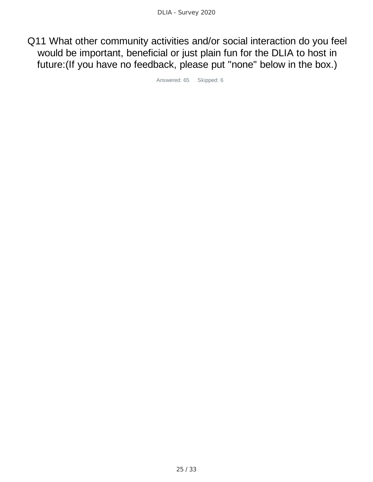Q11 What other community activities and/or social interaction do you feel would be important, beneficial or just plain fun for the DLIA to host in future:(If you have no feedback, please put "none" below in the box.)

Answered: 65 Skipped: 6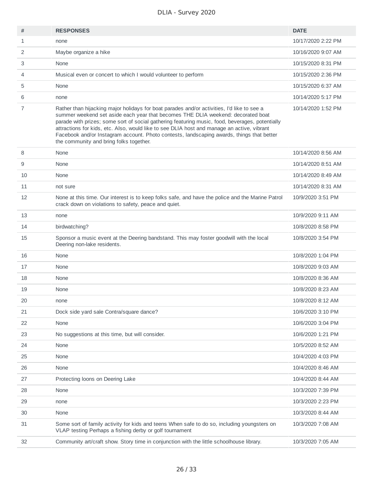| #            | <b>RESPONSES</b>                                                                                                                                                                                                                                                                                                                                                                                                                                                                                                        | <b>DATE</b>        |
|--------------|-------------------------------------------------------------------------------------------------------------------------------------------------------------------------------------------------------------------------------------------------------------------------------------------------------------------------------------------------------------------------------------------------------------------------------------------------------------------------------------------------------------------------|--------------------|
| $\mathbf{1}$ | none                                                                                                                                                                                                                                                                                                                                                                                                                                                                                                                    | 10/17/2020 2:22 PM |
| 2            | Maybe organize a hike                                                                                                                                                                                                                                                                                                                                                                                                                                                                                                   | 10/16/2020 9:07 AM |
| 3            | None                                                                                                                                                                                                                                                                                                                                                                                                                                                                                                                    | 10/15/2020 8:31 PM |
| 4            | Musical even or concert to which I would volunteer to perform                                                                                                                                                                                                                                                                                                                                                                                                                                                           | 10/15/2020 2:36 PM |
| 5            | None                                                                                                                                                                                                                                                                                                                                                                                                                                                                                                                    | 10/15/2020 6:37 AM |
| 6            | none                                                                                                                                                                                                                                                                                                                                                                                                                                                                                                                    | 10/14/2020 5:17 PM |
| 7            | Rather than hijacking major holidays for boat parades and/or activities, I'd like to see a<br>summer weekend set aside each year that becomes THE DLIA weekend: decorated boat<br>parade with prizes; some sort of social gathering featuring music, food, beverages, potentially<br>attractions for kids, etc. Also, would like to see DLIA host and manage an active, vibrant<br>Facebook and/or Instagram account. Photo contests, landscaping awards, things that better<br>the community and bring folks together. | 10/14/2020 1:52 PM |
| 8            | None                                                                                                                                                                                                                                                                                                                                                                                                                                                                                                                    | 10/14/2020 8:56 AM |
| 9            | None                                                                                                                                                                                                                                                                                                                                                                                                                                                                                                                    | 10/14/2020 8:51 AM |
| 10           | None                                                                                                                                                                                                                                                                                                                                                                                                                                                                                                                    | 10/14/2020 8:49 AM |
| 11           | not sure                                                                                                                                                                                                                                                                                                                                                                                                                                                                                                                | 10/14/2020 8:31 AM |
| 12           | None at this time. Our interest is to keep folks safe, and have the police and the Marine Patrol<br>crack down on violations to safety, peace and quiet.                                                                                                                                                                                                                                                                                                                                                                | 10/9/2020 3:51 PM  |
| 13           | none                                                                                                                                                                                                                                                                                                                                                                                                                                                                                                                    | 10/9/2020 9:11 AM  |
| 14           | birdwatching?                                                                                                                                                                                                                                                                                                                                                                                                                                                                                                           | 10/8/2020 8:58 PM  |
| 15           | Sponsor a music event at the Deering bandstand. This may foster goodwill with the local<br>Deering non-lake residents.                                                                                                                                                                                                                                                                                                                                                                                                  | 10/8/2020 3:54 PM  |
| 16           | None                                                                                                                                                                                                                                                                                                                                                                                                                                                                                                                    | 10/8/2020 1:04 PM  |
| 17           | None                                                                                                                                                                                                                                                                                                                                                                                                                                                                                                                    | 10/8/2020 9:03 AM  |
| 18           | None                                                                                                                                                                                                                                                                                                                                                                                                                                                                                                                    | 10/8/2020 8:36 AM  |
| 19           | None                                                                                                                                                                                                                                                                                                                                                                                                                                                                                                                    | 10/8/2020 8:23 AM  |
| 20           | none                                                                                                                                                                                                                                                                                                                                                                                                                                                                                                                    | 10/8/2020 8:12 AM  |
| 21           | Dock side yard sale Contra/square dance?                                                                                                                                                                                                                                                                                                                                                                                                                                                                                | 10/6/2020 3:10 PM  |
| 22           | None                                                                                                                                                                                                                                                                                                                                                                                                                                                                                                                    | 10/6/2020 3:04 PM  |
| 23           | No suggestions at this time, but will consider.                                                                                                                                                                                                                                                                                                                                                                                                                                                                         | 10/6/2020 1:21 PM  |
| 24           | None                                                                                                                                                                                                                                                                                                                                                                                                                                                                                                                    | 10/5/2020 8:52 AM  |
| 25           | None                                                                                                                                                                                                                                                                                                                                                                                                                                                                                                                    | 10/4/2020 4:03 PM  |
| 26           | None                                                                                                                                                                                                                                                                                                                                                                                                                                                                                                                    | 10/4/2020 8:46 AM  |
| 27           | Protecting loons on Deering Lake                                                                                                                                                                                                                                                                                                                                                                                                                                                                                        | 10/4/2020 8:44 AM  |
| 28           | None                                                                                                                                                                                                                                                                                                                                                                                                                                                                                                                    | 10/3/2020 7:39 PM  |
| 29           | none                                                                                                                                                                                                                                                                                                                                                                                                                                                                                                                    | 10/3/2020 2:23 PM  |
| 30           | None                                                                                                                                                                                                                                                                                                                                                                                                                                                                                                                    | 10/3/2020 8:44 AM  |
| 31           | Some sort of family activity for kids and teens When safe to do so, including youngsters on<br>VLAP testing Perhaps a fishing derby or golf tournament                                                                                                                                                                                                                                                                                                                                                                  | 10/3/2020 7:08 AM  |
| 32           | Community art/craft show. Story time in conjunction with the little schoolhouse library.                                                                                                                                                                                                                                                                                                                                                                                                                                | 10/3/2020 7:05 AM  |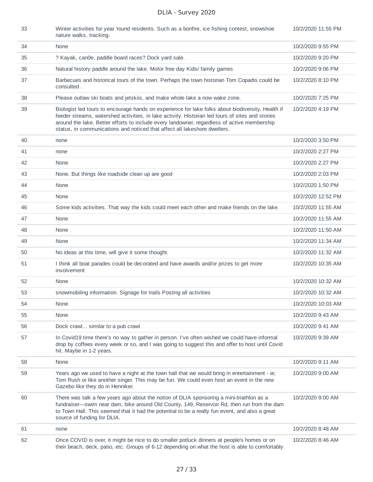| 33 | Winter activities for year 'round residents. Such as a bonfire, ice fishing contest, snowshoe<br>nature walks, tracking.                                                                                                                                                                                                                                                          | 10/2/2020 11:55 PM |
|----|-----------------------------------------------------------------------------------------------------------------------------------------------------------------------------------------------------------------------------------------------------------------------------------------------------------------------------------------------------------------------------------|--------------------|
| 34 | None                                                                                                                                                                                                                                                                                                                                                                              | 10/2/2020 9:55 PM  |
| 35 | ? Kayak, can0e, paddle board races? Dock yard sale.                                                                                                                                                                                                                                                                                                                               | 10/2/2020 9:20 PM  |
| 36 | Natural history paddle around the lake. Motor free day Kids/ family games                                                                                                                                                                                                                                                                                                         | 10/2/2020 9:06 PM  |
| 37 | Barbecues and historical tours of the town. Perhaps the town historian Tom Copadis could be<br>consulted.                                                                                                                                                                                                                                                                         | 10/2/2020 8:10 PM  |
| 38 | Please outlaw ski boats and jetskiis, and make whole lake a now wake zone.                                                                                                                                                                                                                                                                                                        | 10/2/2020 7:25 PM  |
| 39 | Biologist led tours to encourage hands on experience for lake folks about biodiversity, Health if<br>feeder streams, watershed activities, in lake activity. Historian led tours of sites and stories<br>around the lake. Better efforts to include every landowner, regardless of active membership<br>status, in communications and noticed that affect all lakeshore dwellers. | 10/2/2020 4:19 PM  |
| 40 | none                                                                                                                                                                                                                                                                                                                                                                              | 10/2/2020 3:50 PM  |
| 41 | none                                                                                                                                                                                                                                                                                                                                                                              | 10/2/2020 2:27 PM  |
| 42 | None                                                                                                                                                                                                                                                                                                                                                                              | 10/2/2020 2:27 PM  |
| 43 | None. But things like roadside clean up are good                                                                                                                                                                                                                                                                                                                                  | 10/2/2020 2:03 PM  |
| 44 | None                                                                                                                                                                                                                                                                                                                                                                              | 10/2/2020 1:50 PM  |
| 45 | None                                                                                                                                                                                                                                                                                                                                                                              | 10/2/2020 12:52 PM |
| 46 | Some kids activities. That way the kids could meet each other and make friends on the lake.                                                                                                                                                                                                                                                                                       | 10/2/2020 11:55 AM |
| 47 | None                                                                                                                                                                                                                                                                                                                                                                              | 10/2/2020 11:55 AM |
| 48 | None                                                                                                                                                                                                                                                                                                                                                                              | 10/2/2020 11:50 AM |
| 49 | None                                                                                                                                                                                                                                                                                                                                                                              | 10/2/2020 11:34 AM |
| 50 | No ideas at this time, will give it some thought.                                                                                                                                                                                                                                                                                                                                 | 10/2/2020 11:32 AM |
| 51 | I think all boat parades could be decorated and have awards and/or prizes to get more<br>involvement                                                                                                                                                                                                                                                                              | 10/2/2020 10:35 AM |
| 52 | None                                                                                                                                                                                                                                                                                                                                                                              | 10/2/2020 10:32 AM |
| 53 | snowmobiling information. Signage for trails Posting all activities                                                                                                                                                                                                                                                                                                               | 10/2/2020 10:32 AM |
| 54 | None                                                                                                                                                                                                                                                                                                                                                                              | 10/2/2020 10:03 AM |
| 55 | None                                                                                                                                                                                                                                                                                                                                                                              | 10/2/2020 9:43 AM  |
| 56 | Dock crawl similar to a pub crawl                                                                                                                                                                                                                                                                                                                                                 | 10/2/2020 9:41 AM  |
| 57 | In Covid19 time there's no way to gather in person. I've often wished we could have informal<br>drop by coffees every week or so, and I was going to suggest this and offer to host until Covid<br>hit. Maybe in 1-2 years.                                                                                                                                                       | 10/2/2020 9:39 AM  |
| 58 | None                                                                                                                                                                                                                                                                                                                                                                              | 10/2/2020 9:11 AM  |
| 59 | Years ago we used to have a night at the town hall that we would bring in entertainment - ie;<br>Tom Rush or like another singer. This may be fun. We could even host an event in the new<br>Gazebo like they do in Henniker.                                                                                                                                                     | 10/2/2020 9:00 AM  |
| 60 | There was talk a few years ago about the notion of DLIA sponsoring a mini-triathlon as a<br>fundraiser—swim near dam, bike around Old County, 149, Reservoir Rd, then run from the dam<br>to Town Hall. This seemed that it had the potential to be a really fun event, and also a great<br>source of funding for DLIA.                                                           | 10/2/2020 9:00 AM  |
| 61 | none                                                                                                                                                                                                                                                                                                                                                                              | 10/2/2020 8:48 AM  |
| 62 | Once COVID is over, it might be nice to do smaller potluck dinners at people's homes or on<br>their beach, deck, patio, etc. Groups of 6-12 depending on what the host is able to comfortably                                                                                                                                                                                     | 10/2/2020 8:46 AM  |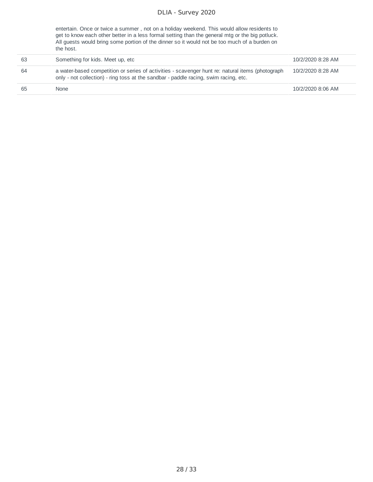entertain. Once or twice a summer , not on a holiday weekend. This would allow residents to get to know each other better in a less formal setting than the general mtg or the big potluck. All guests would bring some portion of the dinner so it would not be too much of a burden on the host.

| 63 | Something for kids. Meet up, etc.                                                                                                                                                        | 10/2/2020 8:28 AM |
|----|------------------------------------------------------------------------------------------------------------------------------------------------------------------------------------------|-------------------|
| 64 | a water-based competition or series of activities - scavenger hunt re: natural items (photograph<br>only - not collection) - ring toss at the sandbar - paddle racing, swim racing, etc. | 10/2/2020 8:28 AM |
| 65 | <b>None</b>                                                                                                                                                                              | 10/2/2020 8:06 AM |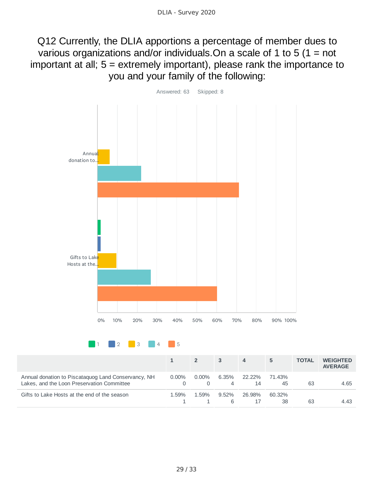Q12 Currently, the DLIA apportions a percentage of member dues to various organizations and/or individuals.On a scale of 1 to 5 (1 = not important at all; 5 = extremely important), please rank the importance to you and your family of the following:

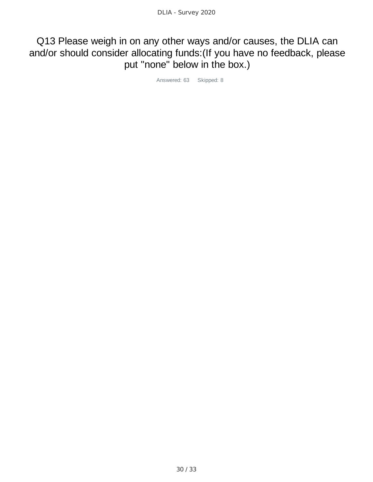### Q13 Please weigh in on any other ways and/or causes, the DLIA can and/or should consider allocating funds:(If you have no feedback, please put "none" below in the box.)

Answered: 63 Skipped: 8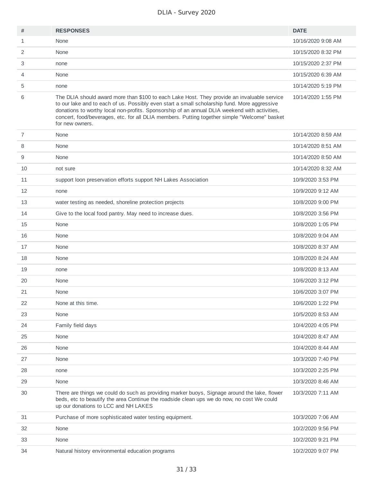| #              | <b>RESPONSES</b>                                                                                                                                                                                                                                                                                                                                                                                                | <b>DATE</b>        |
|----------------|-----------------------------------------------------------------------------------------------------------------------------------------------------------------------------------------------------------------------------------------------------------------------------------------------------------------------------------------------------------------------------------------------------------------|--------------------|
| $\mathbf{1}$   | None                                                                                                                                                                                                                                                                                                                                                                                                            | 10/16/2020 9:08 AM |
| 2              | None                                                                                                                                                                                                                                                                                                                                                                                                            | 10/15/2020 8:32 PM |
| 3              | none                                                                                                                                                                                                                                                                                                                                                                                                            | 10/15/2020 2:37 PM |
| 4              | None                                                                                                                                                                                                                                                                                                                                                                                                            | 10/15/2020 6:39 AM |
| 5              | none                                                                                                                                                                                                                                                                                                                                                                                                            | 10/14/2020 5:19 PM |
| 6              | The DLIA should award more than \$100 to each Lake Host. They provide an invaluable service<br>to our lake and to each of us. Possibly even start a small scholarship fund. More aggressive<br>donations to worthy local non-profits. Sponsorship of an annual DLIA weekend with activities,<br>concert, food/beverages, etc. for all DLIA members. Putting together simple "Welcome" basket<br>for new owners. | 10/14/2020 1:55 PM |
| $\overline{7}$ | None                                                                                                                                                                                                                                                                                                                                                                                                            | 10/14/2020 8:59 AM |
| 8              | None                                                                                                                                                                                                                                                                                                                                                                                                            | 10/14/2020 8:51 AM |
| 9              | None                                                                                                                                                                                                                                                                                                                                                                                                            | 10/14/2020 8:50 AM |
| 10             | not sure                                                                                                                                                                                                                                                                                                                                                                                                        | 10/14/2020 8:32 AM |
| 11             | support loon preservation efforts support NH Lakes Association                                                                                                                                                                                                                                                                                                                                                  | 10/9/2020 3:53 PM  |
| 12             | none                                                                                                                                                                                                                                                                                                                                                                                                            | 10/9/2020 9:12 AM  |
| 13             | water testing as needed, shoreline protection projects                                                                                                                                                                                                                                                                                                                                                          | 10/8/2020 9:00 PM  |
| 14             | Give to the local food pantry. May need to increase dues.                                                                                                                                                                                                                                                                                                                                                       | 10/8/2020 3:56 PM  |
| 15             | None                                                                                                                                                                                                                                                                                                                                                                                                            | 10/8/2020 1:05 PM  |
| 16             | None                                                                                                                                                                                                                                                                                                                                                                                                            | 10/8/2020 9:04 AM  |
| 17             | None                                                                                                                                                                                                                                                                                                                                                                                                            | 10/8/2020 8:37 AM  |
| 18             | None                                                                                                                                                                                                                                                                                                                                                                                                            | 10/8/2020 8:24 AM  |
| 19             | none                                                                                                                                                                                                                                                                                                                                                                                                            | 10/8/2020 8:13 AM  |
| 20             | None                                                                                                                                                                                                                                                                                                                                                                                                            | 10/6/2020 3:12 PM  |
| 21             | None                                                                                                                                                                                                                                                                                                                                                                                                            | 10/6/2020 3:07 PM  |
| 22             | None at this time.                                                                                                                                                                                                                                                                                                                                                                                              | 10/6/2020 1:22 PM  |
| 23             | None                                                                                                                                                                                                                                                                                                                                                                                                            | 10/5/2020 8:53 AM  |
| 24             | Family field days                                                                                                                                                                                                                                                                                                                                                                                               | 10/4/2020 4:05 PM  |
| 25             | None                                                                                                                                                                                                                                                                                                                                                                                                            | 10/4/2020 8:47 AM  |
| 26             | None                                                                                                                                                                                                                                                                                                                                                                                                            | 10/4/2020 8:44 AM  |
| 27             | None                                                                                                                                                                                                                                                                                                                                                                                                            | 10/3/2020 7:40 PM  |
| 28             | none                                                                                                                                                                                                                                                                                                                                                                                                            | 10/3/2020 2:25 PM  |
| 29             | None                                                                                                                                                                                                                                                                                                                                                                                                            | 10/3/2020 8:46 AM  |
| 30             | There are things we could do such as providing marker buoys, Signage around the lake, flower<br>beds, etc to beautify the area Continue the roadside clean ups we do now, no cost We could<br>up our donations to LCC and NH LAKES                                                                                                                                                                              | 10/3/2020 7:11 AM  |
| 31             | Purchase of more sophisticated water testing equipment.                                                                                                                                                                                                                                                                                                                                                         | 10/3/2020 7:06 AM  |
| 32             | None                                                                                                                                                                                                                                                                                                                                                                                                            | 10/2/2020 9:56 PM  |
| 33             | None                                                                                                                                                                                                                                                                                                                                                                                                            | 10/2/2020 9:21 PM  |
| 34             | Natural history environmental education programs                                                                                                                                                                                                                                                                                                                                                                | 10/2/2020 9:07 PM  |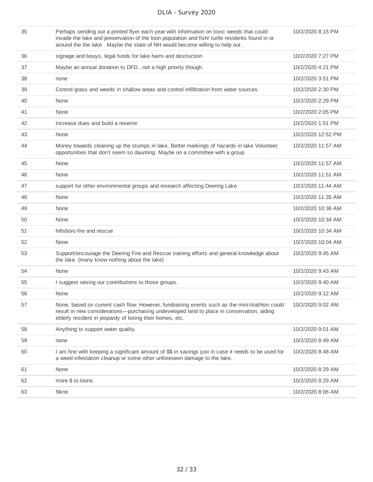| 35 | Perhaps sending out a printed flyer each year with information on toxic weeds that could<br>invade the lake and preservation of the loon population and fish/ turtle residents found in or<br>around the the lake. Maybe the state of NH would become willing to help out. | 10/2/2020 8:15 PM  |
|----|----------------------------------------------------------------------------------------------------------------------------------------------------------------------------------------------------------------------------------------------------------------------------|--------------------|
| 36 | signage and bouys, legal funds for lake harm and destruction                                                                                                                                                                                                               | 10/2/2020 7:27 PM  |
| 37 | Maybe an annual donation to DFDnot a high priority though.                                                                                                                                                                                                                 | 10/2/2020 4:21 PM  |
| 38 | none                                                                                                                                                                                                                                                                       | 10/2/2020 3:51 PM  |
| 39 | Control grass and weeds in shallow areas and control infilltration from water sources.                                                                                                                                                                                     | 10/2/2020 2:30 PM  |
| 40 | None                                                                                                                                                                                                                                                                       | 10/2/2020 2:29 PM  |
| 41 | None                                                                                                                                                                                                                                                                       | 10/2/2020 2:05 PM  |
| 42 | Increase dues and build a reserve.                                                                                                                                                                                                                                         | 10/2/2020 1:51 PM  |
| 43 | None                                                                                                                                                                                                                                                                       | 10/2/2020 12:52 PM |
| 44 | Money towards cleaning up the stumps in lake. Better markings of hazards in lake Volunteer<br>opportunities that don't seem so daunting. Maybe on a committee with a group                                                                                                 | 10/2/2020 11:57 AM |
| 45 | None                                                                                                                                                                                                                                                                       | 10/2/2020 11:57 AM |
| 46 | None                                                                                                                                                                                                                                                                       | 10/2/2020 11:51 AM |
| 47 | support for other environmental groups and research affecting Deering Lake                                                                                                                                                                                                 | 10/2/2020 11:44 AM |
| 48 | None                                                                                                                                                                                                                                                                       | 10/2/2020 11:35 AM |
| 49 | None                                                                                                                                                                                                                                                                       | 10/2/2020 10:36 AM |
| 50 | None                                                                                                                                                                                                                                                                       | 10/2/2020 10:34 AM |
| 51 | hillsboro fire and rescue                                                                                                                                                                                                                                                  | 10/2/2020 10:34 AM |
| 52 | None                                                                                                                                                                                                                                                                       | 10/2/2020 10:04 AM |
| 53 | Support/encourage the Deering Fire and Rescue training efforts and general knowledge about<br>the lake. (many know nothing about the lake)                                                                                                                                 | 10/2/2020 9:45 AM  |
| 54 | None                                                                                                                                                                                                                                                                       | 10/2/2020 9:43 AM  |
| 55 | I suggest raising our contributions to those groups.                                                                                                                                                                                                                       | 10/2/2020 9:40 AM  |
| 56 | None                                                                                                                                                                                                                                                                       | 10/2/2020 9:12 AM  |
| 57 | None, based on current cash flow. However, fundraising events such as the mini-triathlon could<br>result in new considerations—purchasing undeveloped land to place in conservation, aiding<br>elderly resident in jeopardy of losing their homes, etc.                    | 10/2/2020 9:02 AM  |
| 58 | Anything to support water quality.                                                                                                                                                                                                                                         | 10/2/2020 9:01 AM  |
| 59 | none                                                                                                                                                                                                                                                                       | 10/2/2020 8:49 AM  |
| 60 | I am fine with keeping a significant amount of \$\$ in savings just in case it needs to be used for<br>a weed infestation cleanup or some other unforeseen damage to the lake.                                                                                             | 10/2/2020 8:48 AM  |
| 61 | None                                                                                                                                                                                                                                                                       | 10/2/2020 8:29 AM  |
| 62 | more \$ to loons                                                                                                                                                                                                                                                           | 10/2/2020 8:29 AM  |
| 63 | <b>Nkne</b>                                                                                                                                                                                                                                                                | 10/2/2020 8:06 AM  |
|    |                                                                                                                                                                                                                                                                            |                    |